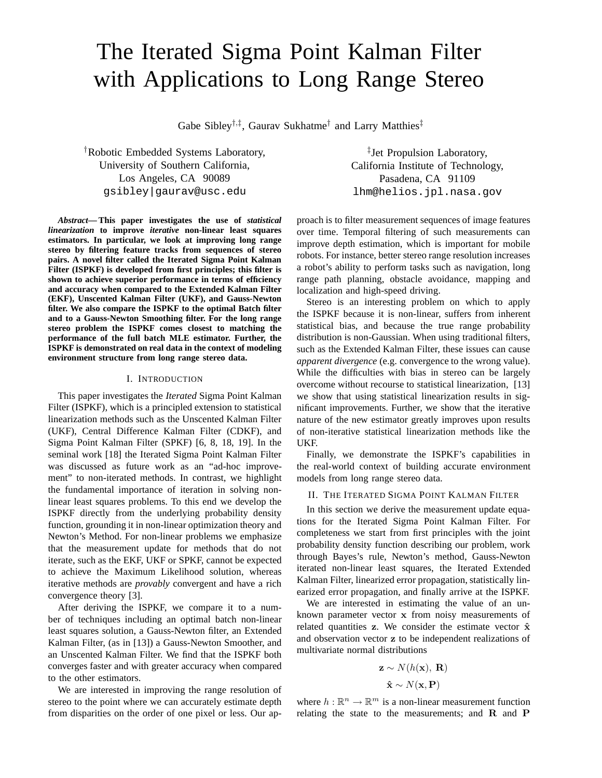# The Iterated Sigma Point Kalman Filter with Applications to Long Range Stereo

Gabe Sibley†,‡ , Gaurav Sukhatme† and Larry Matthies‡

†Robotic Embedded Systems Laboratory, University of Southern California, Los Angeles, CA 90089 gsibley|gaurav@usc.edu

*Abstract***— This paper investigates the use of** *statistical linearization* **to improve** *iterative* **non-linear least squares estimators. In particular, we look at improving long range stereo by filtering feature tracks from sequences of stereo pairs. A novel filter called the Iterated Sigma Point Kalman Filter (ISPKF) is developed from first principles; this filter is shown to achieve superior performance in terms of efficiency and accuracy when compared to the Extended Kalman Filter (EKF), Unscented Kalman Filter (UKF), and Gauss-Newton filter. We also compare the ISPKF to the optimal Batch filter and to a Gauss-Newton Smoothing filter. For the long range stereo problem the ISPKF comes closest to matching the performance of the full batch MLE estimator. Further, the ISPKF is demonstrated on real data in the context of modeling environment structure from long range stereo data.**

# I. INTRODUCTION

This paper investigates the *Iterated* Sigma Point Kalman Filter (ISPKF), which is a principled extension to statistical linearization methods such as the Unscented Kalman Filter (UKF), Central Difference Kalman Filter (CDKF), and Sigma Point Kalman Filter (SPKF) [6, 8, 18, 19]. In the seminal work [18] the Iterated Sigma Point Kalman Filter was discussed as future work as an "ad-hoc improvement" to non-iterated methods. In contrast, we highlight the fundamental importance of iteration in solving nonlinear least squares problems. To this end we develop the ISPKF directly from the underlying probability density function, grounding it in non-linear optimization theory and Newton's Method. For non-linear problems we emphasize that the measurement update for methods that do not iterate, such as the EKF, UKF or SPKF, cannot be expected to achieve the Maximum Likelihood solution, whereas iterative methods are *provably* convergent and have a rich convergence theory [3].

After deriving the ISPKF, we compare it to a number of techniques including an optimal batch non-linear least squares solution, a Gauss-Newton filter, an Extended Kalman Filter, (as in [13]) a Gauss-Newton Smoother, and an Unscented Kalman Filter. We find that the ISPKF both converges faster and with greater accuracy when compared to the other estimators.

We are interested in improving the range resolution of stereo to the point where we can accurately estimate depth from disparities on the order of one pixel or less. Our ap-

‡ Jet Propulsion Laboratory, California Institute of Technology, Pasadena, CA 91109 lhm@helios.jpl.nasa.gov

proach is to filter measurement sequences of image features over time. Temporal filtering of such measurements can improve depth estimation, which is important for mobile robots. For instance, better stereo range resolution increases a robot's ability to perform tasks such as navigation, long range path planning, obstacle avoidance, mapping and localization and high-speed driving.

Stereo is an interesting problem on which to apply the ISPKF because it is non-linear, suffers from inherent statistical bias, and because the true range probability distribution is non-Gaussian. When using traditional filters, such as the Extended Kalman Filter, these issues can cause *apparent divergence* (e.g. convergence to the wrong value). While the difficulties with bias in stereo can be largely overcome without recourse to statistical linearization, [13] we show that using statistical linearization results in significant improvements. Further, we show that the iterative nature of the new estimator greatly improves upon results of non-iterative statistical linearization methods like the UKF.

Finally, we demonstrate the ISPKF's capabilities in the real-world context of building accurate environment models from long range stereo data.

#### II. THE ITERATED SIGMA POINT KALMAN FILTER

In this section we derive the measurement update equations for the Iterated Sigma Point Kalman Filter. For completeness we start from first principles with the joint probability density function describing our problem, work through Bayes's rule, Newton's method, Gauss-Newton iterated non-linear least squares, the Iterated Extended Kalman Filter, linearized error propagation, statistically linearized error propagation, and finally arrive at the ISPKF.

We are interested in estimating the value of an unknown parameter vector x from noisy measurements of related quantities z. We consider the estimate vector  $\hat{x}$ and observation vector z to be independent realizations of multivariate normal distributions

$$
\mathbf{z} \sim N(h(\mathbf{x}), \mathbf{R})
$$

$$
\hat{\mathbf{x}} \sim N(\mathbf{x}, \mathbf{P})
$$

where  $h : \mathbb{R}^n \to \mathbb{R}^m$  is a non-linear measurement function relating the state to the measurements; and  $R$  and  $P$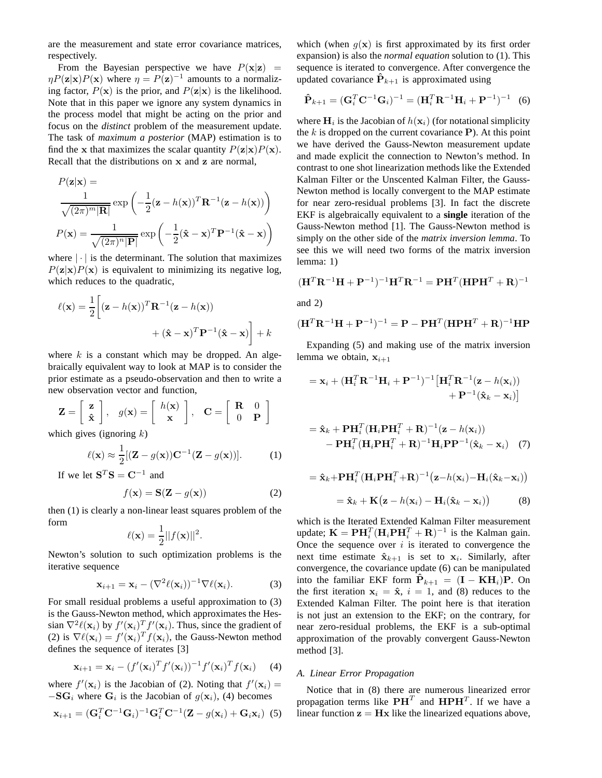are the measurement and state error covariance matrices, respectively.

From the Bayesian perspective we have  $P(x|z)$  =  $\eta P(\mathbf{z}|\mathbf{x})P(\mathbf{x})$  where  $\eta = P(\mathbf{z})^{-1}$  amounts to a normalizing factor,  $P(x)$  is the prior, and  $P(z|x)$  is the likelihood. Note that in this paper we ignore any system dynamics in the process model that might be acting on the prior and focus on the *distinct* problem of the measurement update. The task of *maximum a posterior* (MAP) estimation is to find the x that maximizes the scalar quantity  $P(\mathbf{z}|\mathbf{x})P(\mathbf{x})$ . Recall that the distributions on x and z are normal,

$$
P(\mathbf{z}|\mathbf{x}) = \frac{1}{\sqrt{(2\pi)^m |\mathbf{R}|}} \exp\left(-\frac{1}{2}(\mathbf{z} - h(\mathbf{x}))^T \mathbf{R}^{-1}(\mathbf{z} - h(\mathbf{x}))\right)
$$

$$
P(\mathbf{x}) = \frac{1}{\sqrt{(2\pi)^n |\mathbf{P}|}} \exp\left(-\frac{1}{2}(\hat{\mathbf{x}} - \mathbf{x})^T \mathbf{P}^{-1}(\hat{\mathbf{x}} - \mathbf{x})\right)
$$

where  $|\cdot|$  is the determinant. The solution that maximizes  $P(z|x)P(x)$  is equivalent to minimizing its negative log, which reduces to the quadratic,

$$
\ell(\mathbf{x}) = \frac{1}{2} \left[ (\mathbf{z} - h(\mathbf{x}))^T \mathbf{R}^{-1} (\mathbf{z} - h(\mathbf{x})) + (\hat{\mathbf{x}} - \mathbf{x})^T \mathbf{P}^{-1} (\hat{\mathbf{x}} - \mathbf{x}) \right] + k
$$

where  $k$  is a constant which may be dropped. An algebraically equivalent way to look at MAP is to consider the prior estimate as a pseudo-observation and then to write a new observation vector and function,

$$
\mathbf{Z} = \begin{bmatrix} \mathbf{z} \\ \hat{\mathbf{x}} \end{bmatrix}, \quad g(\mathbf{x}) = \begin{bmatrix} h(\mathbf{x}) \\ \mathbf{x} \end{bmatrix}, \quad \mathbf{C} = \begin{bmatrix} \mathbf{R} & 0 \\ 0 & \mathbf{P} \end{bmatrix}
$$

which gives (ignoring  $k$ )

$$
\ell(\mathbf{x}) \approx \frac{1}{2} [(\mathbf{Z} - g(\mathbf{x})) \mathbf{C}^{-1} (\mathbf{Z} - g(\mathbf{x}))]. \tag{1}
$$

If we let  $S^T S = C^{-1}$  and

$$
f(\mathbf{x}) = \mathbf{S}(\mathbf{Z} - g(\mathbf{x}))
$$
 (2)

then (1) is clearly a non-linear least squares problem of the form

$$
\ell(\mathbf{x}) = \frac{1}{2} ||f(\mathbf{x})||^2.
$$

Newton's solution to such optimization problems is the iterative sequence

$$
\mathbf{x}_{i+1} = \mathbf{x}_i - (\nabla^2 \ell(\mathbf{x}_i))^{-1} \nabla \ell(\mathbf{x}_i).
$$
 (3)

For small residual problems a useful approximation to (3) is the Gauss-Newton method, which approximates the Hessian  $\nabla^2 \ell(\mathbf{x}_i)$  by  $f'(\mathbf{x}_i) T f'(\mathbf{x}_i)$ . Thus, since the gradient of (2) is  $\nabla \ell(\mathbf{x}_i) = f'(\mathbf{x}_i)^T f(\mathbf{x}_i)$ , the Gauss-Newton method defines the sequence of iterates [3]

$$
\mathbf{x}_{i+1} = \mathbf{x}_i - (f'(\mathbf{x}_i)^T f'(\mathbf{x}_i))^{-1} f'(\mathbf{x}_i)^T f(\mathbf{x}_i)
$$
 (4)

where  $f'(\mathbf{x}_i)$  is the Jacobian of (2). Noting that  $f'(\mathbf{x}_i)$  =  $-SG_i$  where  $G_i$  is the Jacobian of  $g(\mathbf{x}_i)$ , (4) becomes

$$
\mathbf{x}_{i+1} = (\mathbf{G}_i^T \mathbf{C}^{-1} \mathbf{G}_i)^{-1} \mathbf{G}_i^T \mathbf{C}^{-1} (\mathbf{Z} - g(\mathbf{x}_i) + \mathbf{G}_i \mathbf{x}_i)
$$
 (5)

which (when  $g(x)$  is first approximated by its first order expansion) is also the *normal equation* solution to (1). This sequence is iterated to convergence. After convergence the updated covariance  $\hat{P}_{k+1}$  is approximated using

$$
\hat{\mathbf{P}}_{k+1} = (\mathbf{G}_i^T \mathbf{C}^{-1} \mathbf{G}_i)^{-1} = (\mathbf{H}_i^T \mathbf{R}^{-1} \mathbf{H}_i + \mathbf{P}^{-1})^{-1} \tag{6}
$$

where  $H_i$  is the Jacobian of  $h(\mathbf{x}_i)$  (for notational simplicity the  $k$  is dropped on the current covariance  $P$ ). At this point we have derived the Gauss-Newton measurement update and made explicit the connection to Newton's method. In contrast to one shot linearization methods like the Extended Kalman Filter or the Unscented Kalman Filter, the Gauss-Newton method is locally convergent to the MAP estimate for near zero-residual problems [3]. In fact the discrete EKF is algebraically equivalent to a **single** iteration of the Gauss-Newton method [1]. The Gauss-Newton method is simply on the other side of the *matrix inversion lemma*. To see this we will need two forms of the matrix inversion lemma: 1)

$$
(\mathbf{H}^T \mathbf{R}^{-1} \mathbf{H} + \mathbf{P}^{-1})^{-1} \mathbf{H}^T \mathbf{R}^{-1} = \mathbf{P} \mathbf{H}^T (\mathbf{H} \mathbf{P} \mathbf{H}^T + \mathbf{R})^{-1}
$$

and 2)

$$
(\mathbf{H}^T \mathbf{R}^{-1} \mathbf{H} + \mathbf{P}^{-1})^{-1} = \mathbf{P} - \mathbf{P} \mathbf{H}^T (\mathbf{H} \mathbf{P} \mathbf{H}^T + \mathbf{R})^{-1} \mathbf{H} \mathbf{P}
$$

Expanding (5) and making use of the matrix inversion lemma we obtain,  $x_{i+1}$ 

$$
= \mathbf{x}_i + (\mathbf{H}_i^T \mathbf{R}^{-1} \mathbf{H}_i + \mathbf{P}^{-1})^{-1} \left[ \mathbf{H}_i^T \mathbf{R}^{-1} (\mathbf{z} - h(\mathbf{x}_i)) + \mathbf{P}^{-1} (\hat{\mathbf{x}}_k - \mathbf{x}_i) \right]
$$

$$
= \hat{\mathbf{x}}_k + \mathbf{P} \mathbf{H}_i^T (\mathbf{H}_i \mathbf{P} \mathbf{H}_i^T + \mathbf{R})^{-1} (\mathbf{z} - h(\mathbf{x}_i))
$$
  
- 
$$
\mathbf{P} \mathbf{H}_i^T (\mathbf{H}_i \mathbf{P} \mathbf{H}_i^T + \mathbf{R})^{-1} \mathbf{H}_i \mathbf{P} \mathbf{P}^{-1} (\hat{\mathbf{x}}_k - \mathbf{x}_i) \quad (7)
$$

$$
= \hat{\mathbf{x}}_k + \mathbf{P} \mathbf{H}_i^T (\mathbf{H}_i \mathbf{P} \mathbf{H}_i^T + \mathbf{R})^{-1} (\mathbf{z} - h(\mathbf{x}_i) - \mathbf{H}_i(\hat{\mathbf{x}}_k - \mathbf{x}_i))
$$
  

$$
= \hat{\mathbf{x}}_k + \mathbf{K} (\mathbf{z} - h(\mathbf{x}_i) - \mathbf{H}_i(\hat{\mathbf{x}}_k - \mathbf{x}_i))
$$
(8)

which is the Iterated Extended Kalman Filter measurement update;  $\mathbf{K} = \mathbf{P}\mathbf{H}_{i}^{T}(\mathbf{H}_{i}\mathbf{P}\mathbf{H}_{i}^{T} + \mathbf{R})^{-1}$  is the Kalman gain. Once the sequence over  $i$  is iterated to convergence the next time estimate  $\hat{\mathbf{x}}_{k+1}$  is set to  $\mathbf{x}_i$ . Similarly, after convergence, the covariance update (6) can be manipulated into the familiar EKF form  $\mathbf{P}_{k+1} = (\mathbf{I} - \mathbf{K} \mathbf{H}_i) \mathbf{P}$ . On the first iteration  $x_i = \hat{x}$ ,  $i = 1$ , and (8) reduces to the Extended Kalman Filter. The point here is that iteration is not just an extension to the EKF; on the contrary, for near zero-residual problems, the EKF is a sub-optimal approximation of the provably convergent Gauss-Newton method [3].

### *A. Linear Error Propagation*

Notice that in (8) there are numerous linearized error propagation terms like  $\mathbf{P}\mathbf{H}^T$  and  $\mathbf{H}\mathbf{P}\mathbf{H}^T$ . If we have a linear function  $z = Hx$  like the linearized equations above,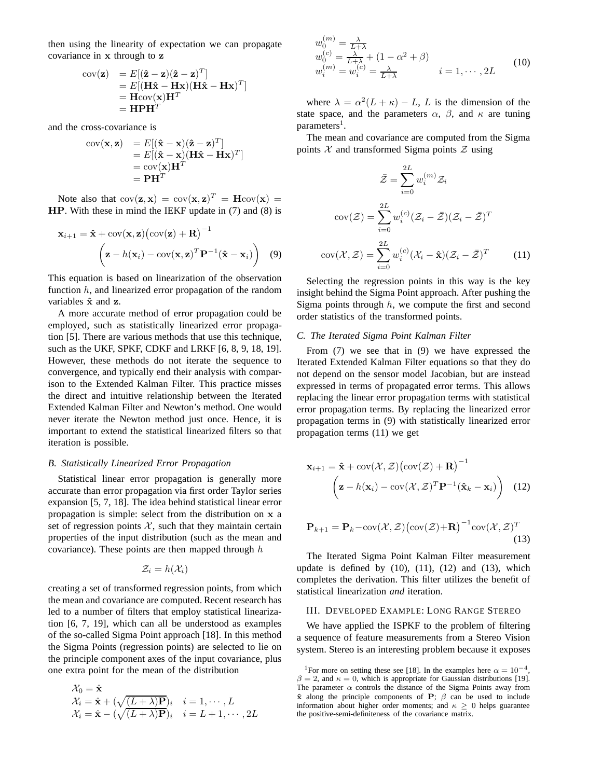then using the linearity of expectation we can propagate covariance in x through to z

$$
\begin{array}{ll}\n\text{cov}(\mathbf{z}) & = E[(\hat{\mathbf{z}} - \mathbf{z})(\hat{\mathbf{z}} - \mathbf{z})^T] \\
& = E[(\mathbf{H}\hat{\mathbf{x}} - \mathbf{H}\mathbf{x})(\mathbf{H}\hat{\mathbf{x}} - \mathbf{H}\mathbf{x})^T] \\
& = \mathbf{H}\text{cov}(\mathbf{x})\mathbf{H}^T \\
& = \mathbf{H}\mathbf{P}\mathbf{H}^T\n\end{array}
$$

and the cross-covariance is

$$
cov(\mathbf{x}, \mathbf{z}) = E[(\hat{\mathbf{x}} - \mathbf{x})(\hat{\mathbf{z}} - \mathbf{z})^T]
$$
  
=  $E[(\hat{\mathbf{x}} - \mathbf{x})(\mathbf{H}\hat{\mathbf{x}} - \mathbf{H}\mathbf{x})^T]$   
=  $cov(\mathbf{x})\mathbf{H}^T$   
=  $\mathbf{P}\mathbf{H}^T$ 

Note also that  $cov(\mathbf{z}, \mathbf{x}) = cov(\mathbf{x}, \mathbf{z})^T = \mathbf{H} cov(\mathbf{x}) =$ HP. With these in mind the IEKF update in (7) and (8) is

$$
\mathbf{x}_{i+1} = \hat{\mathbf{x}} + \text{cov}(\mathbf{x}, \mathbf{z}) (\text{cov}(\mathbf{z}) + \mathbf{R})^{-1}
$$

$$
\left( \mathbf{z} - h(\mathbf{x}_i) - \text{cov}(\mathbf{x}, \mathbf{z})^T \mathbf{P}^{-1} (\hat{\mathbf{x}} - \mathbf{x}_i) \right) \quad (9)
$$

This equation is based on linearization of the observation function  $h$ , and linearized error propagation of the random variables  $\hat{x}$  and  $z$ .

A more accurate method of error propagation could be employed, such as statistically linearized error propagation [5]. There are various methods that use this technique, such as the UKF, SPKF, CDKF and LRKF [6, 8, 9, 18, 19]. However, these methods do not iterate the sequence to convergence, and typically end their analysis with comparison to the Extended Kalman Filter. This practice misses the direct and intuitive relationship between the Iterated Extended Kalman Filter and Newton's method. One would never iterate the Newton method just once. Hence, it is important to extend the statistical linearized filters so that iteration is possible.

#### *B. Statistically Linearized Error Propagation*

Statistical linear error propagation is generally more accurate than error propagation via first order Taylor series expansion [5, 7, 18]. The idea behind statistical linear error propagation is simple: select from the distribution on x a set of regression points  $X$ , such that they maintain certain properties of the input distribution (such as the mean and covariance). These points are then mapped through  $h$ 

$$
\mathcal{Z}_i=h(\mathcal{X}_i)
$$

creating a set of transformed regression points, from which the mean and covariance are computed. Recent research has led to a number of filters that employ statistical linearization [6, 7, 19], which can all be understood as examples of the so-called Sigma Point approach [18]. In this method the Sigma Points (regression points) are selected to lie on the principle component axes of the input covariance, plus one extra point for the mean of the distribution

$$
\mathcal{X}_0 = \hat{\mathbf{x}} \n\mathcal{X}_i = \hat{\mathbf{x}} + (\sqrt{(L+\lambda)\mathbf{P}})_i, \quad i = 1, \dots, L \n\mathcal{X}_i = \hat{\mathbf{x}} - (\sqrt{(L+\lambda)\mathbf{P}})_i, \quad i = L+1, \dots, 2L
$$

$$
w_0^{(m)} = \frac{\lambda}{L+\lambda}
$$
  
\n
$$
w_0^{(c)} = \frac{\lambda}{L+\lambda} + (1 - \alpha^2 + \beta)
$$
  
\n
$$
w_i^{(m)} = w_i^{(c)} = \frac{\lambda}{L+\lambda}
$$
  
\n
$$
i = 1, \dots, 2L
$$
\n(10)

where  $\lambda = \alpha^2 (L + \kappa) - L$ , L is the dimension of the state space, and the parameters  $\alpha$ ,  $\beta$ , and  $\kappa$  are tuning parameters<sup>1</sup>.

The mean and covariance are computed from the Sigma points  $X$  and transformed Sigma points  $Z$  using

$$
\bar{\mathcal{Z}} = \sum_{i=0}^{2L} w_i^{(m)} \mathcal{Z}_i
$$

$$
cov(\mathcal{Z}) = \sum_{i=0}^{2L} w_i^{(c)} (\mathcal{Z}_i - \bar{\mathcal{Z}}) (\mathcal{Z}_i - \bar{\mathcal{Z}})^T
$$

$$
cov(\mathcal{X}, \mathcal{Z}) = \sum_{i=0}^{2L} w_i^{(c)} (\mathcal{X}_i - \hat{\mathbf{x}}) (\mathcal{Z}_i - \bar{\mathcal{Z}})^T
$$
(11)

Selecting the regression points in this way is the key insight behind the Sigma Point approach. After pushing the Sigma points through  $h$ , we compute the first and second order statistics of the transformed points.

#### *C. The Iterated Sigma Point Kalman Filter*

From (7) we see that in (9) we have expressed the Iterated Extended Kalman Filter equations so that they do not depend on the sensor model Jacobian, but are instead expressed in terms of propagated error terms. This allows replacing the linear error propagation terms with statistical error propagation terms. By replacing the linearized error propagation terms in (9) with statistically linearized error propagation terms (11) we get

$$
\mathbf{x}_{i+1} = \hat{\mathbf{x}} + \text{cov}(\mathcal{X}, \mathcal{Z}) (\text{cov}(\mathcal{Z}) + \mathbf{R})^{-1}
$$

$$
\left( \mathbf{z} - h(\mathbf{x}_i) - \text{cov}(\mathcal{X}, \mathcal{Z})^T \mathbf{P}^{-1} (\hat{\mathbf{x}}_k - \mathbf{x}_i) \right) \quad (12)
$$

$$
\mathbf{P}_{k+1} = \mathbf{P}_k - \text{cov}(\mathcal{X}, \mathcal{Z}) \left( \text{cov}(\mathcal{Z}) + \mathbf{R} \right)^{-1} \text{cov}(\mathcal{X}, \mathcal{Z})^T
$$
\n(13)

The Iterated Sigma Point Kalman Filter measurement update is defined by  $(10)$ ,  $(11)$ ,  $(12)$  and  $(13)$ , which completes the derivation. This filter utilizes the benefit of statistical linearization *and* iteration.

### III. DEVELOPED EXAMPLE: LONG RANGE STEREO

We have applied the ISPKF to the problem of filtering a sequence of feature measurements from a Stereo Vision system. Stereo is an interesting problem because it exposes

<sup>&</sup>lt;sup>1</sup>For more on setting these see [18]. In the examples here  $\alpha = 10^{-4}$ ,  $\beta = 2$ , and  $\kappa = 0$ , which is appropriate for Gaussian distributions [19]. The parameter  $\alpha$  controls the distance of the Sigma Points away from  $\hat{x}$  along the principle components of P;  $\beta$  can be used to include information about higher order moments; and  $\kappa > 0$  helps guarantee the positive-semi-definiteness of the covariance matrix.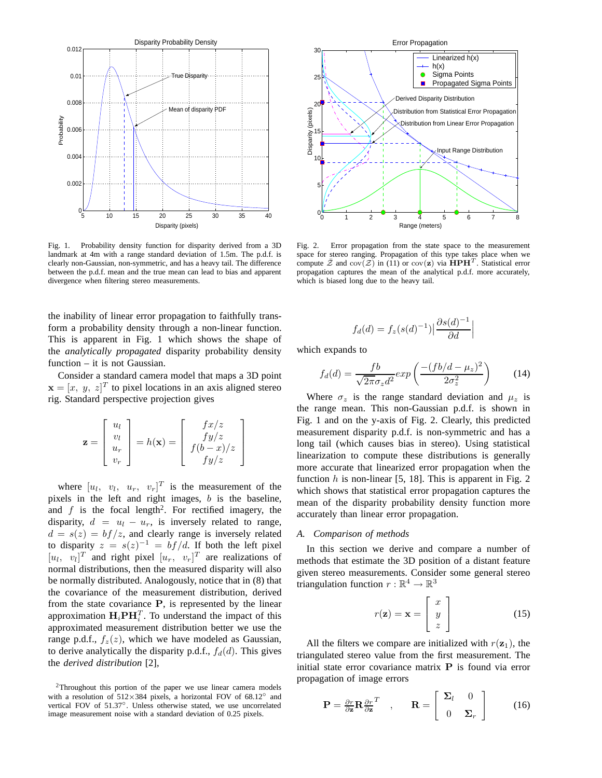

Fig. 1. Probability density function for disparity derived from a 3D landmark at 4m with a range standard deviation of 1.5m. The p.d.f. is clearly non-Gaussian, non-symmetric, and has a heavy tail. The difference between the p.d.f. mean and the true mean can lead to bias and apparent divergence when filtering stereo measurements.

the inability of linear error propagation to faithfully transform a probability density through a non-linear function. This is apparent in Fig. 1 which shows the shape of the *analytically propagated* disparity probability density function – it is not Gaussian.

Consider a standard camera model that maps a 3D point  $\mathbf{x} = [x, y, z]^T$  to pixel locations in an axis aligned stereo rig. Standard perspective projection gives

$$
\mathbf{z} = \begin{bmatrix} u_l \\ v_l \\ u_r \\ v_r \end{bmatrix} = h(\mathbf{x}) = \begin{bmatrix} f x/z \\ fy/z \\ f(b-x)/z \\ fy/z \end{bmatrix}
$$

where  $[u_l, v_l, u_r, v_r]^T$  is the measurement of the pixels in the left and right images,  $b$  is the baseline, and  $f$  is the focal length<sup>2</sup>. For rectified imagery, the disparity,  $d = u_l - u_r$ , is inversely related to range,  $d = s(z) = bf/z$ , and clearly range is inversely related to disparity  $z = s(z)^{-1} = bf/d$ . If both the left pixel  $[u_l, v_l]^T$  and right pixel  $[u_r, v_r]^T$  are realizations of normal distributions, then the measured disparity will also be normally distributed. Analogously, notice that in (8) that the covariance of the measurement distribution, derived from the state covariance  $P$ , is represented by the linear approximation  $H_i$ P $H_i^T$ . To understand the impact of this approximated measurement distribution better we use the range p.d.f.,  $f_z(z)$ , which we have modeled as Gaussian, to derive analytically the disparity p.d.f.,  $f_d(d)$ . This gives the *derived distribution* [2],



Fig. 2. Error propagation from the state space to the measurement space for stereo ranging. Propagation of this type takes place when we compute  $\overline{\mathcal{Z}}$  and  $\overline{\text{cov}}(\overline{\mathcal{Z}})$  in  $(11)$  or  $\overline{\text{cov}}(\mathbf{z})$  via  $\overline{\text{HPH}^T}$ . Statistical error propagation captures the mean of the analytical p.d.f. more accurately, which is biased long due to the heavy tail.

$$
f_d(d) = f_z(s(d)^{-1}) \left| \frac{\partial s(d)^{-1}}{\partial d} \right|
$$

which expands to

$$
f_d(d) = \frac{fb}{\sqrt{2\pi}\sigma_z d^2} exp\left(\frac{-(fb/d - \mu_z)^2}{2\sigma_z^2}\right) \tag{14}
$$

Where  $\sigma_z$  is the range standard deviation and  $\mu_z$  is the range mean. This non-Gaussian p.d.f. is shown in Fig. 1 and on the y-axis of Fig. 2. Clearly, this predicted measurement disparity p.d.f. is non-symmetric and has a long tail (which causes bias in stereo). Using statistical linearization to compute these distributions is generally more accurate that linearized error propagation when the function  $h$  is non-linear [5, 18]. This is apparent in Fig. 2 which shows that statistical error propagation captures the mean of the disparity probability density function more accurately than linear error propagation.

# *A. Comparison of methods*

In this section we derive and compare a number of methods that estimate the 3D position of a distant feature given stereo measurements. Consider some general stereo triangulation function  $r : \mathbb{R}^4 \to \mathbb{R}^3$ 

$$
r(\mathbf{z}) = \mathbf{x} = \begin{bmatrix} x \\ y \\ z \end{bmatrix}
$$
 (15)

All the filters we compare are initialized with  $r(\mathbf{z}_1)$ , the triangulated stereo value from the first measurement. The initial state error covariance matrix P is found via error propagation of image errors

$$
\mathbf{P} = \frac{\partial r}{\partial \mathbf{z}} \mathbf{R} \frac{\partial r}{\partial \mathbf{z}}^T , \qquad \mathbf{R} = \begin{bmatrix} \Sigma_l & 0 \\ 0 & \Sigma_r \end{bmatrix}
$$
 (16)

<sup>2</sup>Throughout this portion of the paper we use linear camera models with a resolution of  $512\times384$  pixels, a horizontal FOV of 68.12° and vertical FOV of 51.37◦ . Unless otherwise stated, we use uncorrelated image measurement noise with a standard deviation of 0.25 pixels.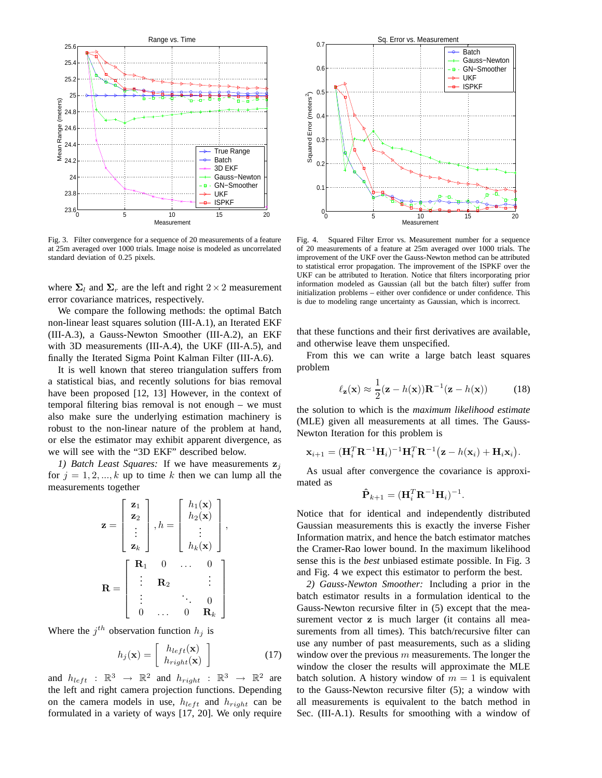

Fig. 3. Filter convergence for a sequence of 20 measurements of a feature at 25m averaged over 1000 trials. Image noise is modeled as uncorrelated standard deviation of 0.25 pixels.

where  $\Sigma_l$  and  $\Sigma_r$  are the left and right  $2 \times 2$  measurement error covariance matrices, respectively.

We compare the following methods: the optimal Batch non-linear least squares solution (III-A.1), an Iterated EKF (III-A.3), a Gauss-Newton Smoother (III-A.2), an EKF with 3D measurements (III-A.4), the UKF (III-A.5), and finally the Iterated Sigma Point Kalman Filter (III-A.6).

It is well known that stereo triangulation suffers from a statistical bias, and recently solutions for bias removal have been proposed [12, 13] However, in the context of temporal filtering bias removal is not enough – we must also make sure the underlying estimation machinery is robust to the non-linear nature of the problem at hand, or else the estimator may exhibit apparent divergence, as we will see with the "3D EKF" described below.

*1) Batch Least Squares:* If we have measurements  $z_i$ for  $j = 1, 2, ..., k$  up to time k then we can lump all the measurements together

$$
\mathbf{z} = \begin{bmatrix} \mathbf{z}_1 \\ \mathbf{z}_2 \\ \vdots \\ \mathbf{z}_k \end{bmatrix}, h = \begin{bmatrix} h_1(\mathbf{x}) \\ h_2(\mathbf{x}) \\ \vdots \\ h_k(\mathbf{x}) \end{bmatrix},
$$

$$
\mathbf{R} = \begin{bmatrix} \mathbf{R}_1 & 0 & \cdots & 0 \\ \vdots & \mathbf{R}_2 & & \vdots \\ \vdots & & \ddots & 0 \\ 0 & \cdots & 0 & \mathbf{R}_k \end{bmatrix}.
$$

Where the  $j^{th}$  observation function  $h_j$  is

$$
h_j(\mathbf{x}) = \begin{bmatrix} h_{left}(\mathbf{x}) \\ h_{right}(\mathbf{x}) \end{bmatrix}
$$
 (17)

and  $h_{left}$  :  $\mathbb{R}^3 \rightarrow \mathbb{R}^2$  and  $h_{right}$  :  $\mathbb{R}^3 \rightarrow \mathbb{R}^2$  are the left and right camera projection functions. Depending on the camera models in use,  $h_{left}$  and  $h_{right}$  can be formulated in a variety of ways [17, 20]. We only require



Fig. 4. Squared Filter Error vs. Measurement number for a sequence of 20 measurements of a feature at 25m averaged over 1000 trials. The improvement of the UKF over the Gauss-Newton method can be attributed to statistical error propagation. The improvement of the ISPKF over the UKF can be attributed to Iteration. Notice that filters incorporating prior information modeled as Gaussian (all but the batch filter) suffer from initialization problems – either over confidence or under confidence. This is due to modeling range uncertainty as Gaussian, which is incorrect.

that these functions and their first derivatives are available, and otherwise leave them unspecified.

From this we can write a large batch least squares problem

$$
\ell_{\mathbf{z}}(\mathbf{x}) \approx \frac{1}{2}(\mathbf{z} - h(\mathbf{x})) \mathbf{R}^{-1}(\mathbf{z} - h(\mathbf{x})) \tag{18}
$$

the solution to which is the *maximum likelihood estimate* (MLE) given all measurements at all times. The Gauss-Newton Iteration for this problem is

$$
\mathbf{x}_{i+1} = (\mathbf{H}_{i}^{T} \mathbf{R}^{-1} \mathbf{H}_{i})^{-1} \mathbf{H}_{i}^{T} \mathbf{R}^{-1} (\mathbf{z} - h(\mathbf{x}_{i}) + \mathbf{H}_{i} \mathbf{x}_{i}).
$$

As usual after convergence the covariance is approximated as

$$
\hat{\mathbf{P}}_{k+1} = (\mathbf{H}_i^T \mathbf{R}^{-1} \mathbf{H}_i)^{-1}.
$$

Notice that for identical and independently distributed Gaussian measurements this is exactly the inverse Fisher Information matrix, and hence the batch estimator matches the Cramer-Rao lower bound. In the maximum likelihood sense this is the *best* unbiased estimate possible. In Fig. 3 and Fig. 4 we expect this estimator to perform the best.

*2) Gauss-Newton Smoother:* Including a prior in the batch estimator results in a formulation identical to the Gauss-Newton recursive filter in (5) except that the measurement vector z is much larger (it contains all measurements from all times). This batch/recursive filter can use any number of past measurements, such as a sliding window over the previous  $m$  measurements. The longer the window the closer the results will approximate the MLE batch solution. A history window of  $m = 1$  is equivalent to the Gauss-Newton recursive filter (5); a window with all measurements is equivalent to the batch method in Sec. (III-A.1). Results for smoothing with a window of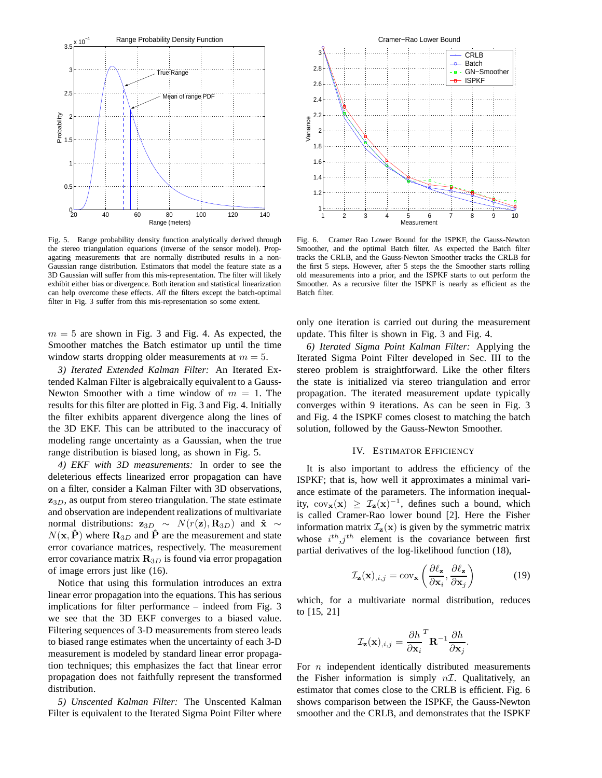

Fig. 5. Range probability density function analytically derived through the stereo triangulation equations (inverse of the sensor model). Propagating measurements that are normally distributed results in a non-Gaussian range distribution. Estimators that model the feature state as a 3D Gaussian will suffer from this mis-representation. The filter will likely exhibit either bias or divergence. Both iteration and statistical linearization can help overcome these effects. *All* the filters except the batch-optimal filter in Fig. 3 suffer from this mis-representation so some extent.

 $m = 5$  are shown in Fig. 3 and Fig. 4. As expected, the Smoother matches the Batch estimator up until the time window starts dropping older measurements at  $m = 5$ .

*3) Iterated Extended Kalman Filter:* An Iterated Extended Kalman Filter is algebraically equivalent to a Gauss-Newton Smoother with a time window of  $m = 1$ . The results for this filter are plotted in Fig. 3 and Fig. 4. Initially the filter exhibits apparent divergence along the lines of the 3D EKF. This can be attributed to the inaccuracy of modeling range uncertainty as a Gaussian, when the true range distribution is biased long, as shown in Fig. 5.

*4) EKF with 3D measurements:* In order to see the deleterious effects linearized error propagation can have on a filter, consider a Kalman Filter with 3D observations,  $z_{3D}$ , as output from stereo triangulation. The state estimate and observation are independent realizations of multivariate normal distributions:  $\mathbf{z}_{3D} \sim N(r(\mathbf{z}), \mathbf{R}_{3D})$  and  $\hat{\mathbf{x}} \sim$  $N(\mathbf{x}, \hat{\mathbf{P}})$  where  $\mathbf{R}_{3D}$  and  $\hat{\mathbf{P}}$  are the measurement and state error covariance matrices, respectively. The measurement error covariance matrix  $\mathbf{R}_{3D}$  is found via error propagation of image errors just like (16).

Notice that using this formulation introduces an extra linear error propagation into the equations. This has serious implications for filter performance – indeed from Fig. 3 we see that the 3D EKF converges to a biased value. Filtering sequences of 3-D measurements from stereo leads to biased range estimates when the uncertainty of each 3-D measurement is modeled by standard linear error propagation techniques; this emphasizes the fact that linear error propagation does not faithfully represent the transformed distribution.

*5) Unscented Kalman Filter:* The Unscented Kalman Filter is equivalent to the Iterated Sigma Point Filter where



Fig. 6. Cramer Rao Lower Bound for the ISPKF, the Gauss-Newton Smoother, and the optimal Batch filter. As expected the Batch filter tracks the CRLB, and the Gauss-Newton Smoother tracks the CRLB for the first 5 steps. However, after 5 steps the the Smoother starts rolling old measurements into a prior, and the ISPKF starts to out perform the Smoother. As a recursive filter the ISPKF is nearly as efficient as the Batch filter.

only one iteration is carried out during the measurement update. This filter is shown in Fig. 3 and Fig. 4.

*6) Iterated Sigma Point Kalman Filter:* Applying the Iterated Sigma Point Filter developed in Sec. III to the stereo problem is straightforward. Like the other filters the state is initialized via stereo triangulation and error propagation. The iterated measurement update typically converges within 9 iterations. As can be seen in Fig. 3 and Fig. 4 the ISPKF comes closest to matching the batch solution, followed by the Gauss-Newton Smoother.

#### IV. ESTIMATOR EFFICIENCY

It is also important to address the efficiency of the ISPKF; that is, how well it approximates a minimal variance estimate of the parameters. The information inequality,  $cov_{\mathbf{x}}(\mathbf{x}) \geq \mathcal{I}_{\mathbf{z}}(\mathbf{x})^{-1}$ , defines such a bound, which is called Cramer-Rao lower bound [2]. Here the Fisher information matrix  $\mathcal{I}_{z}(\mathbf{x})$  is given by the symmetric matrix whose  $i^{th}$ ,  $j^{th}$  element is the covariance between first partial derivatives of the log-likelihood function (18),

$$
\mathcal{I}_{\mathbf{z}}(\mathbf{x})_{,i,j} = \text{cov}_{\mathbf{x}}\left(\frac{\partial \ell_{\mathbf{z}}}{\partial \mathbf{x}_i}, \frac{\partial \ell_{\mathbf{z}}}{\partial \mathbf{x}_j}\right) \tag{19}
$$

.

which, for a multivariate normal distribution, reduces to [15, 21]

$$
\mathcal{I}_{\mathbf{z}}(\mathbf{x})_{,i,j} = \frac{\partial h}{\partial \mathbf{x}_i}^T \mathbf{R}^{-1} \frac{\partial h}{\partial \mathbf{x}_j}
$$

For  $n$  independent identically distributed measurements the Fisher information is simply  $n\mathcal{I}$ . Qualitatively, an estimator that comes close to the CRLB is efficient. Fig. 6 shows comparison between the ISPKF, the Gauss-Newton smoother and the CRLB, and demonstrates that the ISPKF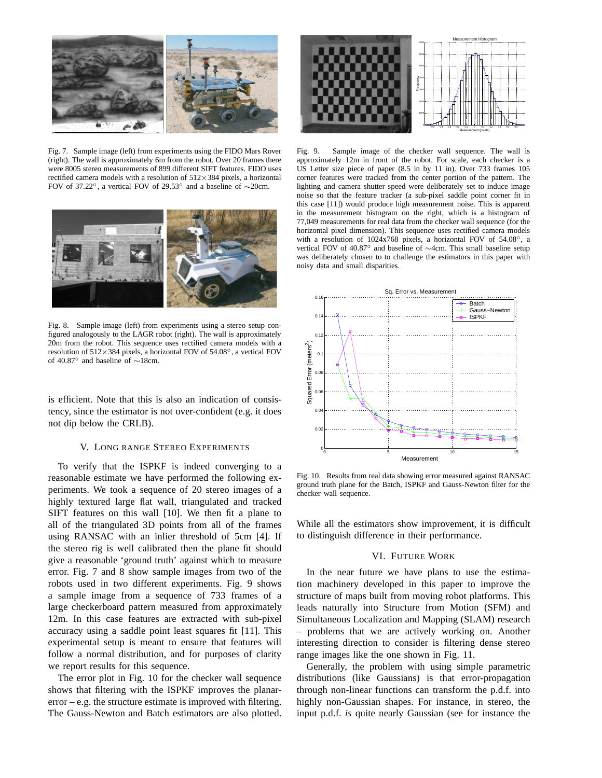

Fig. 7. Sample image (left) from experiments using the FIDO Mars Rover (right). The wall is approximately 6m from the robot. Over 20 frames there were 8005 stereo measurements of 899 different SIFT features. FIDO uses rectified camera models with a resolution of  $512\times384$  pixels, a horizontal FOV of 37.22◦, a vertical FOV of 29.53◦ and a baseline of ∼20cm.



Fig. 8. Sample image (left) from experiments using a stereo setup configured analogously to the LAGR robot (right). The wall is approximately 20m from the robot. This sequence uses rectified camera models with a resolution of 512×384 pixels, a horizontal FOV of 54.08◦, a vertical FOV of 40.87◦ and baseline of ∼18cm.

is efficient. Note that this is also an indication of consistency, since the estimator is not over-confident (e.g. it does not dip below the CRLB).

## V. LONG RANGE STEREO EXPERIMENTS

To verify that the ISPKF is indeed converging to a reasonable estimate we have performed the following experiments. We took a sequence of 20 stereo images of a highly textured large flat wall, triangulated and tracked SIFT features on this wall [10]. We then fit a plane to all of the triangulated 3D points from all of the frames using RANSAC with an inlier threshold of 5cm [4]. If the stereo rig is well calibrated then the plane fit should give a reasonable 'ground truth' against which to measure error. Fig. 7 and 8 show sample images from two of the robots used in two different experiments. Fig. 9 shows a sample image from a sequence of 733 frames of a large checkerboard pattern measured from approximately 12m. In this case features are extracted with sub-pixel accuracy using a saddle point least squares fit [11]. This experimental setup is meant to ensure that features will follow a normal distribution, and for purposes of clarity we report results for this sequence.

The error plot in Fig. 10 for the checker wall sequence shows that filtering with the ISPKF improves the planarerror – e.g. the structure estimate is improved with filtering. The Gauss-Newton and Batch estimators are also plotted.



Fig. 9. Sample image of the checker wall sequence. The wall is approximately 12m in front of the robot. For scale, each checker is a US Letter size piece of paper (8.5 in by 11 in). Over 733 frames 105 corner features were tracked from the center portion of the pattern. The lighting and camera shutter speed were deliberately set to induce image noise so that the feature tracker (a sub-pixel saddle point corner fit in this case [11]) would produce high measurement noise. This is apparent in the measurement histogram on the right, which is a histogram of 77,049 measurements for real data from the checker wall sequence (for the horizontal pixel dimension). This sequence uses rectified camera models with a resolution of 1024x768 pixels, a horizontal FOV of 54.08◦, a vertical FOV of 40.87◦ and baseline of ∼4cm. This small baseline setup was deliberately chosen to to challenge the estimators in this paper with noisy data and small disparities.



Fig. 10. Results from real data showing error measured against RANSAC ground truth plane for the Batch, ISPKF and Gauss-Newton filter for the checker wall sequence.

While all the estimators show improvement, it is difficult to distinguish difference in their performance.

# VI. FUTURE WORK

In the near future we have plans to use the estimation machinery developed in this paper to improve the structure of maps built from moving robot platforms. This leads naturally into Structure from Motion (SFM) and Simultaneous Localization and Mapping (SLAM) research – problems that we are actively working on. Another interesting direction to consider is filtering dense stereo range images like the one shown in Fig. 11.

Generally, the problem with using simple parametric distributions (like Gaussians) is that error-propagation through non-linear functions can transform the p.d.f. into highly non-Gaussian shapes. For instance, in stereo, the input p.d.f. *is* quite nearly Gaussian (see for instance the